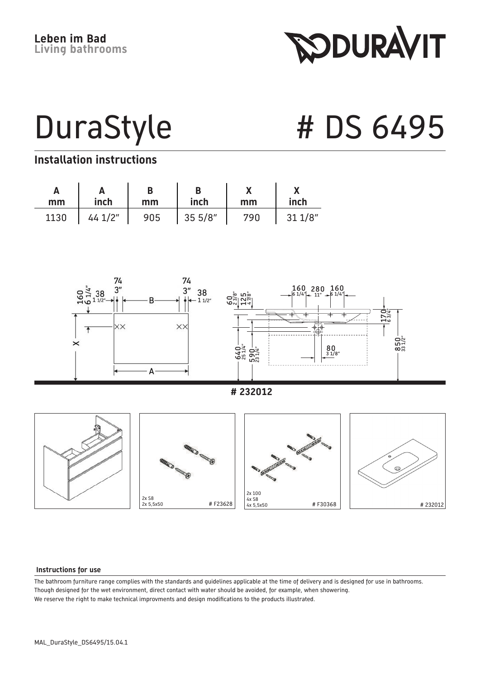**RODURAVIT** 

DuraStyle # DS 6495

#### **Installation instructions**

| mm   | inch   | D<br>mm | inch   | mm  | inch   |
|------|--------|---------|--------|-----|--------|
| 1130 | 441/2" | 905     | 355/8" | 790 | 311/8" |



 **# 232012**



#### **Instructions for use**

The bathroom furniture range complies with the standards and guidelines applicable at the time of delivery and is designed for use in bathrooms. Though designed for the wet environment, direct contact with water should be avoided, for example, when showering. We reserve the right to make technical improvments and design modifications to the products illustrated.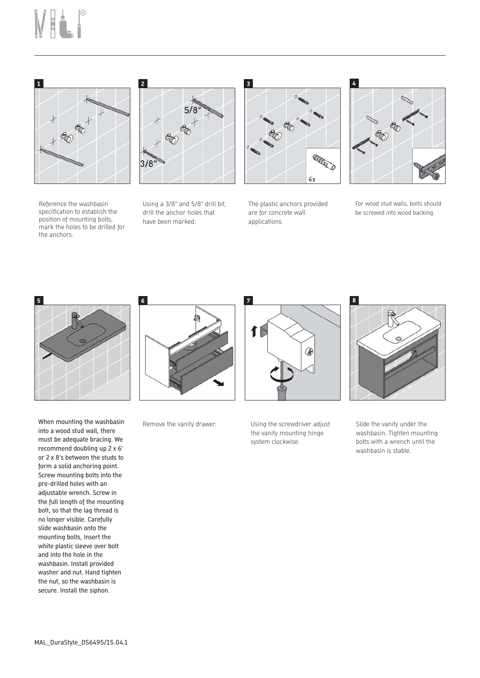# Mai.<sup>8</sup>



Reference the washbasin specification to establish the position of mounting bolts. mark the holes to be drilled for the anchors.



Using a 3/8" and 5/8" drill bit, drill the anchor holes that have been marked.



The plastic anchors provided are for concrete wall applications.



For wood stud walls, bolts should be screwed into wood backing.



When mounting the washbasin into a wood stud wall, there must be adequate bracing. We recommend doubling up 2 x 6' or 2 x 8's between the studs to form a solid anchoring point. Screw mounting bolts into the pre-drilled holes with an adjustable wrench. Screw in the full length of the mounting bolt, so that the lag thread is no longer visible. Carefully slide washbasin onto the mounting bolts, Insert the white plastic sleeve over bolt and into the hole in the washbasin. Install provided washer and nut. Hand tighten the nut, so the washbasin is secure. Install the siphon.



Remove the vanity drawer. Using the screwdriver adjust



the vanity mounting hinge system clockwise.



Slide the vanity under the washbasin. Tighten mounting bolts with a wrench until the washbasin is stable.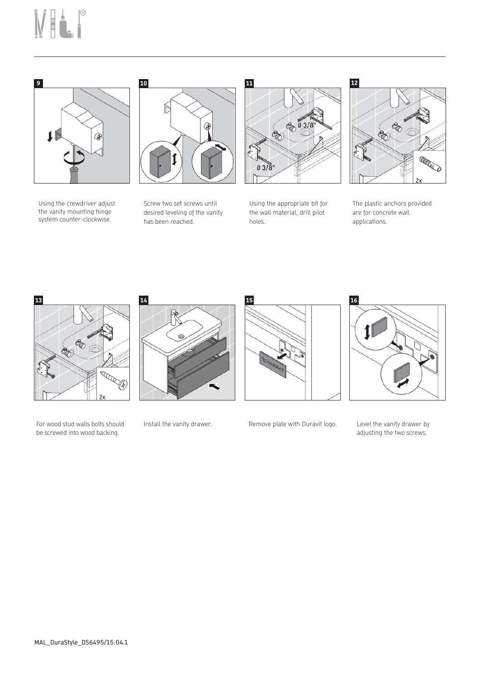## MELI



Using the crewdriver adjust the vanity mounting hinge system counter-clockwise.



Screw two set screws until desired leveling of the vanity has been reached.



Using the appropriate bit for the wall material, drill pilot holes.

### $\bullet$ è. **ANGED**

The plastic anchors provided are for concrete wall applications.



For wood stud walls bolts should be screwed into wood backing.





Install the vanity drawer. Remove plate with Duravit logo.



Level the vanity drawer by adjusting the two screws.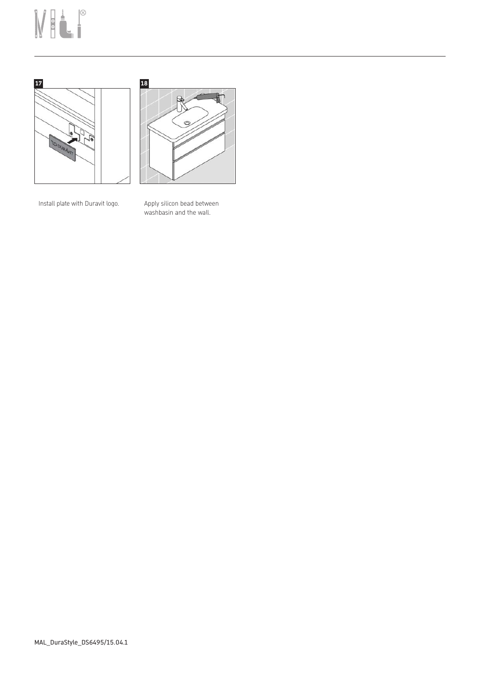## MELP





Install plate with Duravit logo. Apply silicon bead between washbasin and the wall.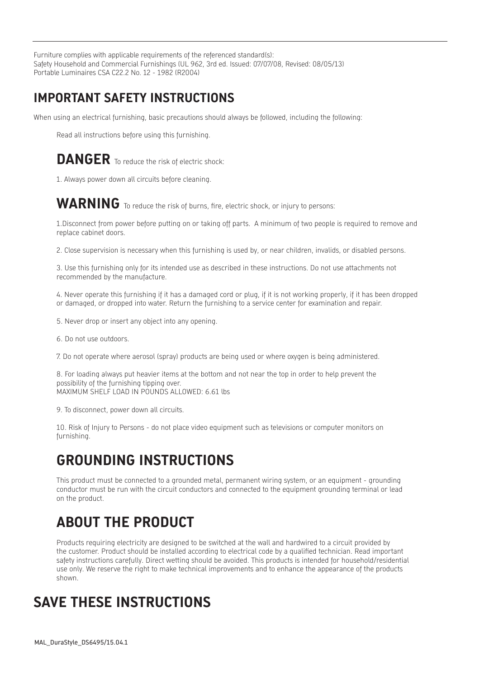Furniture complies with applicable requirements of the referenced standard(s): Safety Household and Commercial Furnishings (UL 962, 3rd ed. Issued: 07/07/08, Revised: 08/05/13) Portable Luminaires CSA C22.2 No. 12 - 1982 (R2004)

#### **IMPORTANT SAFETY INSTRUCTIONS**

When using an electrical furnishing, basic precautions should always be followed, including the following:

Read all instructions before using this furnishing.

#### **DANGER** To reduce the risk of electric shock:

1. Always power down all circuits before cleaning.

#### WARNING To reduce the risk of burns, fire, electric shock, or injury to persons:

1.Disconnect from power before putting on or taking off parts. A minimum of two people is required to remove and replace cabinet doors.

2. Close supervision is necessary when this furnishing is used by, or near children, invalids, or disabled persons.

3. Use this furnishing only for its intended use as described in these instructions. Do not use attachments not recommended by the manufacture.

4. Never operate this furnishing if it has a damaged cord or plug, if it is not working properly, if it has been dropped or damaged, or dropped into water. Return the furnishing to a service center for examination and repair.

- 5. Never drop or insert any object into any opening.
- 6. Do not use outdoors.

7. Do not operate where aerosol (spray) products are being used or where oxygen is being administered.

8. For loading always put heavier items at the bottom and not near the top in order to help prevent the possibility of the furnishing tipping over. MAXIMUM SHELF LOAD IN POUNDS ALLOWED: 6.61 lbs

9. To disconnect, power down all circuits.

10. Risk of Injury to Persons - do not place video equipment such as televisions or computer monitors on furnishing.

#### **GROUNDING INSTRUCTIONS**

This product must be connected to a grounded metal, permanent wiring system, or an equipment - grounding conductor must be run with the circuit conductors and connected to the equipment grounding terminal or lead on the product.

### **ABOUT THE PRODUCT**

Products requiring electricity are designed to be switched at the wall and hardwired to a circuit provided by the customer. Product should be installed according to electrical code by a qualified technician. Read important safety instructions carefully. Direct wetting should be avoided. This products is intended for household/residential use only. We reserve the right to make technical improvements and to enhance the appearance of the products shown.

#### **SAVE THESE INSTRUCTIONS**